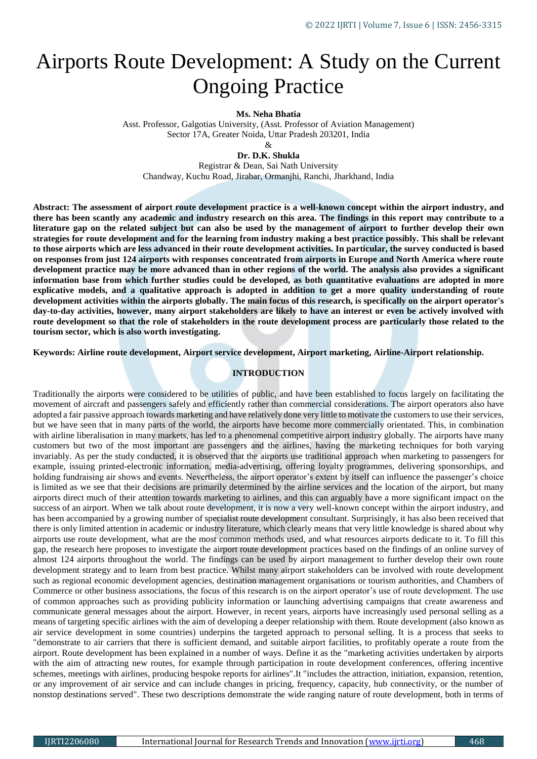# Airports Route Development: A Study on the Current Ongoing Practice

**Ms. Neha Bhatia**

Asst. Professor, Galgotias University, (Asst. Professor of Aviation Management) Sector 17A, Greater Noida, Uttar Pradesh 203201, India  $\mathcal{R}$ 

**Dr. D.K. Shukla**

Registrar & Dean, Sai Nath University Chandway, Kuchu Road, Jirabar, Ormanjhi, Ranchi, Jharkhand, India

**Abstract: The assessment of airport route development practice is a well-known concept within the airport industry, and there has been scantly any academic and industry research on this area. The findings in this report may contribute to a literature gap on the related subject but can also be used by the management of airport to further develop their own strategies for route development and for the learning from industry making a best practice possibly. This shall be relevant to those airports which are less advanced in their route development activities. In particular, the survey conducted is based on responses from just 124 airports with responses concentrated from airports in Europe and North America where route development practice may be more advanced than in other regions of the world. The analysis also provides a significant information base from which further studies could be developed, as both quantitative evaluations are adopted in more explicative models, and a qualitative approach is adopted in addition to get a more quality understanding of route development activities within the airports globally. The main focus of this research, is specifically on the airport operator's day-to-day activities, however, many airport stakeholders are likely to have an interest or even be actively involved with route development so that the role of stakeholders in the route development process are particularly those related to the tourism sector, which is also worth investigating.**

**Keywords: Airline route development, Airport service development, Airport marketing, Airline-Airport relationship.**

### **INTRODUCTION**

Traditionally the airports were considered to be utilities of public, and have been established to focus largely on facilitating the movement of aircraft and passengers safely and efficiently rather than commercial considerations. The airport operators also have adopted a fair passive approach towards marketing and have relatively done very little to motivate the customers to use their services, but we have seen that in many parts of the world, the airports have become more commercially orientated. This, in combination with airline liberalisation in many markets, has led to a phenomenal competitive airport industry globally. The airports have many customers but two of the most important are passengers and the airlines, having the marketing techniques for both varying invariably. As per the study conducted, it is observed that the airports use traditional approach when marketing to passengers for example, issuing printed-electronic information, media-advertising, offering loyalty programmes, delivering sponsorships, and holding fundraising air shows and events. Nevertheless, the airport operator's extent by itself can influence the passenger's choice is limited as we see that their decisions are primarily determined by the airline services and the location of the airport, but many airports direct much of their attention towards marketing to airlines, and this can arguably have a more significant impact on the success of an airport. When we talk about route development, it is now a very well-known concept within the airport industry, and has been accompanied by a growing number of specialist route development consultant. Surprisingly, it has also been received that there is only limited attention in academic or industry literature, which clearly means that very little knowledge is shared about why airports use route development, what are the most common methods used, and what resources airports dedicate to it. To fill this gap, the research here proposes to investigate the airport route development practices based on the findings of an online survey of almost 124 airports throughout the world. The findings can be used by airport management to further develop their own route development strategy and to learn from best practice. Whilst many airport stakeholders can be involved with route development such as regional economic development agencies, destination management organisations or tourism authorities, and Chambers of Commerce or other business associations, the focus of this research is on the airport operator's use of route development. The use of common approaches such as providing publicity information or launching advertising campaigns that create awareness and communicate general messages about the airport. However, in recent years, airports have increasingly used personal selling as a means of targeting specific airlines with the aim of developing a deeper relationship with them. Route development (also known as air service development in some countries) underpins the targeted approach to personal selling. It is a process that seeks to "demonstrate to air carriers that there is sufficient demand, and suitable airport facilities, to profitably operate a route from the airport. Route development has been explained in a number of ways. Define it as the "marketing activities undertaken by airports with the aim of attracting new routes, for example through participation in route development conferences, offering incentive schemes, meetings with airlines, producing bespoke reports for airlines".It "includes the attraction, initiation, expansion, retention, or any improvement of air service and can include changes in pricing, frequency, capacity, hub connectivity, or the number of nonstop destinations served". These two descriptions demonstrate the wide ranging nature of route development, both in terms of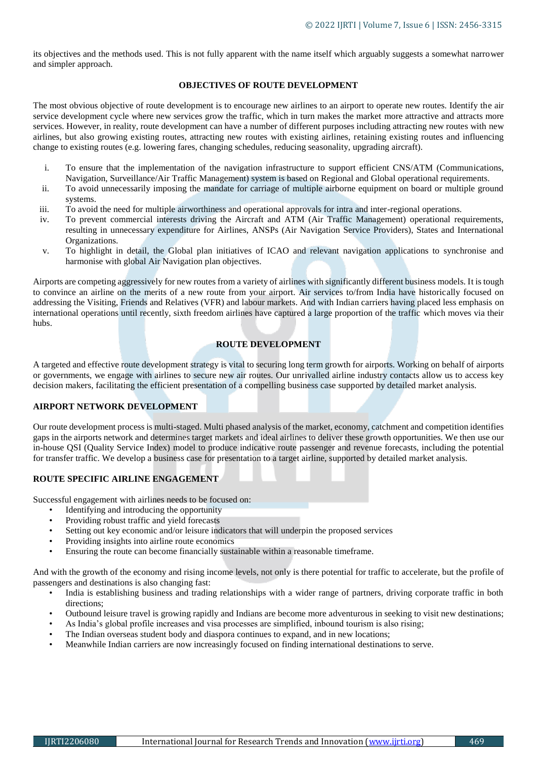its objectives and the methods used. This is not fully apparent with the name itself which arguably suggests a somewhat narrower and simpler approach.

# **OBJECTIVES OF ROUTE DEVELOPMENT**

The most obvious objective of route development is to encourage new airlines to an airport to operate new routes. Identify the air service development cycle where new services grow the traffic, which in turn makes the market more attractive and attracts more services. However, in reality, route development can have a number of different purposes including attracting new routes with new airlines, but also growing existing routes, attracting new routes with existing airlines, retaining existing routes and influencing change to existing routes (e.g. lowering fares, changing schedules, reducing seasonality, upgrading aircraft).

- i. To ensure that the implementation of the navigation infrastructure to support efficient CNS/ATM (Communications, Navigation, Surveillance/Air Traffic Management) system is based on Regional and Global operational requirements.
- ii. To avoid unnecessarily imposing the mandate for carriage of multiple airborne equipment on board or multiple ground systems.
- iii. To avoid the need for multiple airworthiness and operational approvals for intra and inter-regional operations.
- iv. To prevent commercial interests driving the Aircraft and ATM (Air Traffic Management) operational requirements, resulting in unnecessary expenditure for Airlines, ANSPs (Air Navigation Service Providers), States and International Organizations.
- v. To highlight in detail, the Global plan initiatives of ICAO and relevant navigation applications to synchronise and harmonise with global Air Navigation plan objectives.

Airports are competing aggressively for new routes from a variety of airlines with significantly different business models. It is tough to convince an airline on the merits of a new route from your airport. Air services to/from India have historically focused on addressing the Visiting, Friends and Relatives (VFR) and labour markets. And with Indian carriers having placed less emphasis on international operations until recently, sixth freedom airlines have captured a large proportion of the traffic which moves via their hubs.

# **ROUTE DEVELOPMENT**

A targeted and effective route development strategy is vital to securing long term growth for airports. Working on behalf of airports or governments, we engage with airlines to secure new air routes. Our unrivalled airline industry contacts allow us to access key decision makers, facilitating the efficient presentation of a compelling business case supported by detailed market analysis.

# **AIRPORT NETWORK DEVELOPMENT**

Our route development process is multi-staged. Multi phased analysis of the market, economy, catchment and competition identifies gaps in the airports network and determines target markets and ideal airlines to deliver these growth opportunities. We then use our in-house QSI (Quality Service Index) model to produce indicative route passenger and revenue forecasts, including the potential for transfer traffic. We develop a business case for presentation to a target airline, supported by detailed market analysis.

# **ROUTE SPECIFIC AIRLINE ENGAGEMENT**

Successful engagement with airlines needs to be focused on:

- Identifying and introducing the opportunity
- Providing robust traffic and yield forecasts
- Setting out key economic and/or leisure indicators that will underpin the proposed services
- Providing insights into airline route economics
- Ensuring the route can become financially sustainable within a reasonable timeframe.

And with the growth of the economy and rising income levels, not only is there potential for traffic to accelerate, but the profile of passengers and destinations is also changing fast:

- India is establishing business and trading relationships with a wider range of partners, driving corporate traffic in both directions;
- Outbound leisure travel is growing rapidly and Indians are become more adventurous in seeking to visit new destinations;
- As India's global profile increases and visa processes are simplified, inbound tourism is also rising;
- The Indian overseas student body and diaspora continues to expand, and in new locations;
- Meanwhile Indian carriers are now increasingly focused on finding international destinations to serve.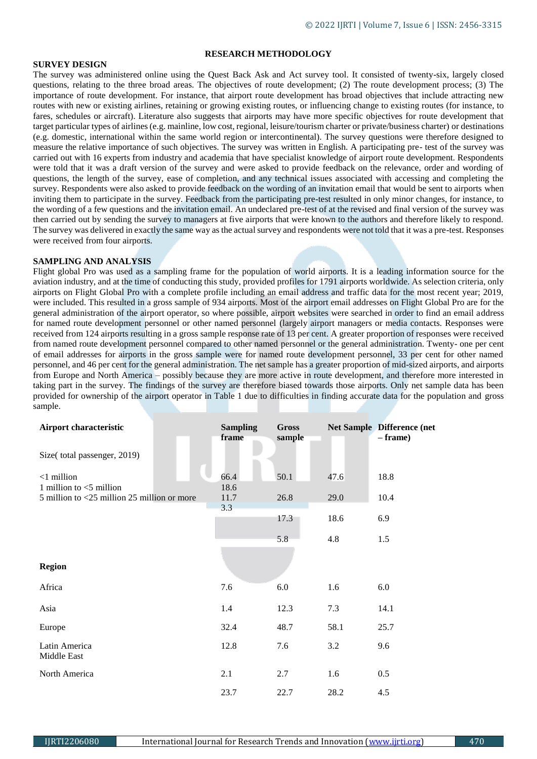## **RESEARCH METHODOLOGY**

#### **SURVEY DESIGN**

The survey was administered online using the Quest Back Ask and Act survey tool. It consisted of twenty-six, largely closed questions, relating to the three broad areas. The objectives of route development; (2) The route development process; (3) The importance of route development. For instance, that airport route development has broad objectives that include attracting new routes with new or existing airlines, retaining or growing existing routes, or influencing change to existing routes (for instance, to fares, schedules or aircraft). Literature also suggests that airports may have more specific objectives for route development that target particular types of airlines (e.g. mainline, low cost, regional, leisure/tourism charter or private/business charter) or destinations (e.g. domestic, international within the same world region or intercontinental). The survey questions were therefore designed to measure the relative importance of such objectives. The survey was written in English. A participating pre- test of the survey was carried out with 16 experts from industry and academia that have specialist knowledge of airport route development. Respondents were told that it was a draft version of the survey and were asked to provide feedback on the relevance, order and wording of questions, the length of the survey, ease of completion, and any technical issues associated with accessing and completing the survey. Respondents were also asked to provide feedback on the wording of an invitation email that would be sent to airports when inviting them to participate in the survey. Feedback from the participating pre-test resulted in only minor changes, for instance, to the wording of a few questions and the invitation email. An undeclared pre-test of at the revised and final version of the survey was then carried out by sending the survey to managers at five airports that were known to the authors and therefore likely to respond. The survey was delivered in exactly the same way as the actual survey and respondents were not told that it was a pre-test. Responses were received from four airports.

### **SAMPLING AND ANALYSIS**

Flight global Pro was used as a sampling frame for the population of world airports. It is a leading information source for the aviation industry, and at the time of conducting this study, provided profiles for 1791 airports worldwide. As selection criteria, only airports on Flight Global Pro with a complete profile including an email address and traffic data for the most recent year; 2019, were included. This resulted in a gross sample of 934 airports. Most of the airport email addresses on Flight Global Pro are for the general administration of the airport operator, so where possible, airport websites were searched in order to find an email address for named route development personnel or other named personnel (largely airport managers or media contacts. Responses were received from 124 airports resulting in a gross sample response rate of 13 per cent. A greater proportion of responses were received from named route development personnel compared to other named personnel or the general administration. Twenty- one per cent of email addresses for airports in the gross sample were for named route development personnel, 33 per cent for other named personnel, and 46 per cent for the general administration. The net sample has a greater proportion of mid-sized airports, and airports from Europe and North America – possibly because they are more active in route development, and therefore more interested in taking part in the survey. The findings of the survey are therefore biased towards those airports. Only net sample data has been provided for ownership of the airport operator in Table 1 due to difficulties in finding accurate data for the population and gross sample.

| Airport characteristic                         | <b>Sampling</b><br>frame | <b>Gross</b><br>sample |      | <b>Net Sample Difference (net</b><br>– frame) |  |
|------------------------------------------------|--------------------------|------------------------|------|-----------------------------------------------|--|
| Size(total passenger, 2019)                    |                          |                        |      |                                               |  |
| $<$ 1 million<br>1 million to $<$ 5 million    | 66.4<br>18.6             | 50.1                   | 47.6 | 18.8                                          |  |
| 5 million to $<$ 25 million 25 million or more | 11.7<br>3.3              | 26.8                   | 29.0 | 10.4                                          |  |
|                                                |                          | 17.3                   | 18.6 | 6.9                                           |  |
|                                                |                          | 5.8                    | 4.8  | 1.5                                           |  |
| <b>Region</b>                                  |                          |                        |      |                                               |  |
| Africa                                         | 7.6                      | 6.0                    | 1.6  | 6.0                                           |  |
| Asia                                           | 1.4                      | 12.3                   | 7.3  | 14.1                                          |  |
| Europe                                         | 32.4                     | 48.7                   | 58.1 | 25.7                                          |  |
| Latin America<br>Middle East                   | 12.8                     | 7.6                    | 3.2  | 9.6                                           |  |
| North America                                  | 2.1                      | 2.7                    | 1.6  | 0.5                                           |  |
|                                                | 23.7                     | 22.7                   | 28.2 | 4.5                                           |  |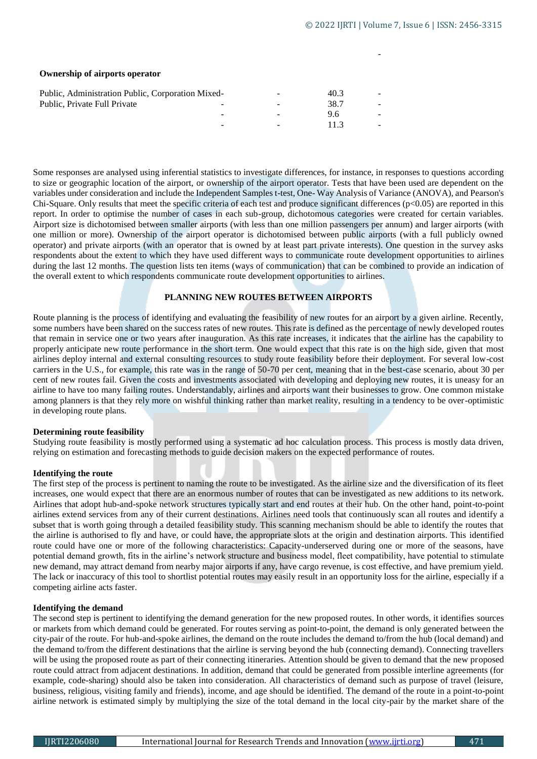-

#### **Ownership of airports operator**

| Public, Administration Public, Corporation Mixed- |                          | $\overline{\phantom{a}}$ | 40.3 |  |
|---------------------------------------------------|--------------------------|--------------------------|------|--|
| Public, Private Full Private                      | $\overline{\phantom{0}}$ | $\overline{\phantom{a}}$ | 38.7 |  |
|                                                   | $\overline{\phantom{a}}$ | $\overline{\phantom{a}}$ | 96   |  |
|                                                   | $\overline{\phantom{0}}$ | $\overline{\phantom{a}}$ | 113  |  |

Some responses are analysed using inferential statistics to investigate differences, for instance, in responses to questions according to size or geographic location of the airport, or ownership of the airport operator. Tests that have been used are dependent on the variables under consideration and include the Independent Samples t-test, One- Way Analysis of Variance (ANOVA), and Pearson's Chi-Square. Only results that meet the specific criteria of each test and produce significant differences (p<0.05) are reported in this report. In order to optimise the number of cases in each sub-group, dichotomous categories were created for certain variables. Airport size is dichotomised between smaller airports (with less than one million passengers per annum) and larger airports (with one million or more). Ownership of the airport operator is dichotomised between public airports (with a full publicly owned operator) and private airports (with an operator that is owned by at least part private interests). One question in the survey asks respondents about the extent to which they have used different ways to communicate route development opportunities to airlines during the last 12 months. The question lists ten items (ways of communication) that can be combined to provide an indication of the overall extent to which respondents communicate route development opportunities to airlines.

## **PLANNING NEW ROUTES BETWEEN AIRPORTS**

Route planning is the process of identifying and evaluating the feasibility of new routes for an airport by a given airline. Recently, some numbers have been shared on the success rates of new routes. This rate is defined as the percentage of newly developed routes that remain in service one or two years after inauguration. As this rate increases, it indicates that the airline has the capability to properly anticipate new route performance in the short term. One would expect that this rate is on the high side, given that most airlines deploy internal and external consulting resources to study route feasibility before their deployment. For several low-cost carriers in the U.S., for example, this rate was in the range of 50-70 per cent, meaning that in the best-case scenario, about 30 per cent of new routes fail. Given the costs and investments associated with developing and deploying new routes, it is uneasy for an airline to have too many failing routes. Understandably, airlines and airports want their businesses to grow. One common mistake among planners is that they rely more on wishful thinking rather than market reality, resulting in a tendency to be over-optimistic in developing route plans.

#### **Determining route feasibility**

Studying route feasibility is mostly performed using a systematic ad hoc calculation process. This process is mostly data driven, relying on estimation and forecasting methods to guide decision makers on the expected performance of routes.

#### **Identifying the route**

The first step of the process is pertinent to naming the route to be investigated. As the airline size and the diversification of its fleet increases, one would expect that there are an enormous number of routes that can be investigated as new additions to its network. Airlines that adopt hub-and-spoke network structures typically start and end routes at their hub. On the other hand, point-to-point airlines extend services from any of their current destinations. Airlines need tools that continuously scan all routes and identify a subset that is worth going through a detailed feasibility study. This scanning mechanism should be able to identify the routes that the airline is authorised to fly and have, or could have, the appropriate slots at the origin and destination airports. This identified route could have one or more of the following characteristics: Capacity-underserved during one or more of the seasons, have potential demand growth, fits in the airline's network structure and business model, fleet compatibility, have potential to stimulate new demand, may attract demand from nearby major airports if any, have cargo revenue, is cost effective, and have premium yield. The lack or inaccuracy of this tool to shortlist potential routes may easily result in an opportunity loss for the airline, especially if a competing airline acts faster.

#### **Identifying the demand**

The second step is pertinent to identifying the demand generation for the new proposed routes. In other words, it identifies sources or markets from which demand could be generated. For routes serving as point-to-point, the demand is only generated between the city-pair of the route. For hub-and-spoke airlines, the demand on the route includes the demand to/from the hub (local demand) and the demand to/from the different destinations that the airline is serving beyond the hub (connecting demand). Connecting travellers will be using the proposed route as part of their connecting itineraries. Attention should be given to demand that the new proposed route could attract from adjacent destinations. In addition, demand that could be generated from possible interline agreements (for example, code-sharing) should also be taken into consideration. All characteristics of demand such as purpose of travel (leisure, business, religious, visiting family and friends), income, and age should be identified. The demand of the route in a point-to-point airline network is estimated simply by multiplying the size of the total demand in the local city-pair by the market share of the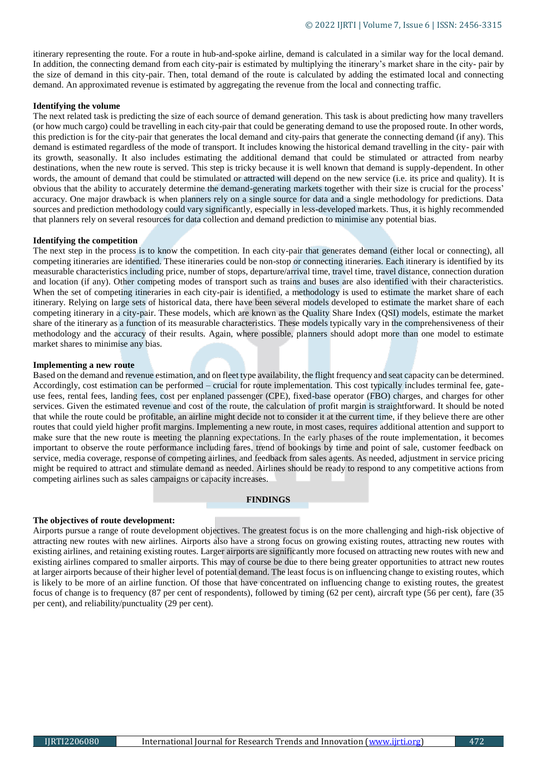itinerary representing the route. For a route in hub-and-spoke airline, demand is calculated in a similar way for the local demand. In addition, the connecting demand from each city-pair is estimated by multiplying the itinerary's market share in the city- pair by the size of demand in this city-pair. Then, total demand of the route is calculated by adding the estimated local and connecting demand. An approximated revenue is estimated by aggregating the revenue from the local and connecting traffic.

#### **Identifying the volume**

The next related task is predicting the size of each source of demand generation. This task is about predicting how many travellers (or how much cargo) could be travelling in each city-pair that could be generating demand to use the proposed route. In other words, this prediction is for the city-pair that generates the local demand and city-pairs that generate the connecting demand (if any). This demand is estimated regardless of the mode of transport. It includes knowing the historical demand travelling in the city- pair with its growth, seasonally. It also includes estimating the additional demand that could be stimulated or attracted from nearby destinations, when the new route is served. This step is tricky because it is well known that demand is supply-dependent. In other words, the amount of demand that could be stimulated or attracted will depend on the new service (i.e. its price and quality). It is obvious that the ability to accurately determine the demand-generating markets together with their size is crucial for the process' accuracy. One major drawback is when planners rely on a single source for data and a single methodology for predictions. Data sources and prediction methodology could vary significantly, especially in less-developed markets. Thus, it is highly recommended that planners rely on several resources for data collection and demand prediction to minimise any potential bias.

#### **Identifying the competition**

The next step in the process is to know the competition. In each city-pair that generates demand (either local or connecting), all competing itineraries are identified. These itineraries could be non-stop or connecting itineraries. Each itinerary is identified by its measurable characteristics including price, number of stops, departure/arrival time, travel time, travel distance, connection duration and location (if any). Other competing modes of transport such as trains and buses are also identified with their characteristics. When the set of competing itineraries in each city-pair is identified, a methodology is used to estimate the market share of each itinerary. Relying on large sets of historical data, there have been several models developed to estimate the market share of each competing itinerary in a city-pair. These models, which are known as the Quality Share Index (QSI) models, estimate the market share of the itinerary as a function of its measurable characteristics. These models typically vary in the comprehensiveness of their methodology and the accuracy of their results. Again, where possible, planners should adopt more than one model to estimate market shares to minimise any bias.

#### **Implementing a new route**

Based on the demand and revenue estimation, and on fleet type availability, the flight frequency and seat capacity can be determined. Accordingly, cost estimation can be performed – crucial for route implementation. This cost typically includes terminal fee, gateuse fees, rental fees, landing fees, cost per enplaned passenger (CPE), fixed-base operator (FBO) charges, and charges for other services. Given the estimated revenue and cost of the route, the calculation of profit margin is straightforward. It should be noted that while the route could be profitable, an airline might decide not to consider it at the current time, if they believe there are other routes that could yield higher profit margins. Implementing a new route, in most cases, requires additional attention and support to make sure that the new route is meeting the planning expectations. In the early phases of the route implementation, it becomes important to observe the route performance including fares, trend of bookings by time and point of sale, customer feedback on service, media coverage, response of competing airlines, and feedback from sales agents. As needed, adjustment in service pricing might be required to attract and stimulate demand as needed. Airlines should be ready to respond to any competitive actions from competing airlines such as sales campaigns or capacity increases.

#### **FINDINGS**

#### **The objectives of route development:**

Airports pursue a range of route development objectives. The greatest focus is on the more challenging and high-risk objective of attracting new routes with new airlines. Airports also have a strong focus on growing existing routes, attracting new routes with existing airlines, and retaining existing routes. Larger airports are significantly more focused on attracting new routes with new and existing airlines compared to smaller airports. This may of course be due to there being greater opportunities to attract new routes at larger airports because of their higher level of potential demand. The least focus is on influencing change to existing routes, which is likely to be more of an airline function. Of those that have concentrated on influencing change to existing routes, the greatest focus of change is to frequency (87 per cent of respondents), followed by timing (62 per cent), aircraft type (56 per cent), fare (35 per cent), and reliability/punctuality (29 per cent).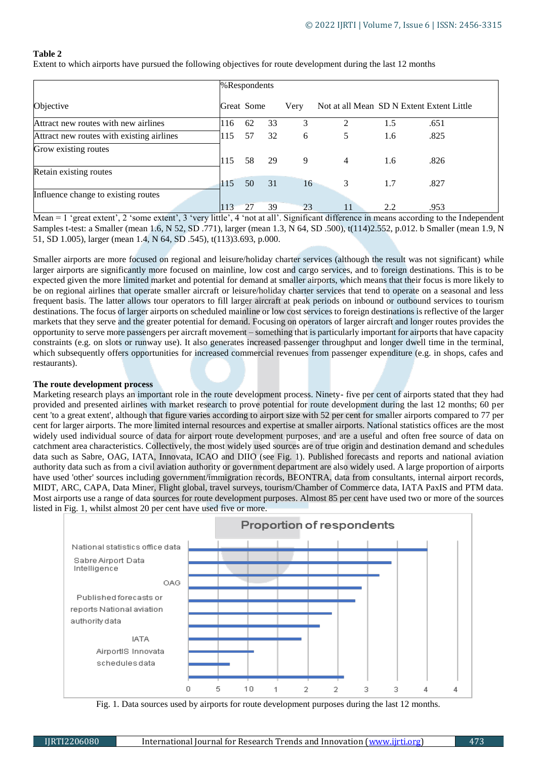# **Table 2**

Extent to which airports have pursued the following objectives for route development during the last 12 months

|                                                                                                                                                         | % Respondents   |    |    |                                  |                        |     |                                           |
|---------------------------------------------------------------------------------------------------------------------------------------------------------|-----------------|----|----|----------------------------------|------------------------|-----|-------------------------------------------|
| Objective                                                                                                                                               | Great Some      |    |    | Very                             |                        |     | Not at all Mean SD N Extent Extent Little |
| Attract new routes with new airlines                                                                                                                    | 116             | 62 | 33 | 3                                | 2                      | 1.5 | .651                                      |
| Attract new routes with existing airlines                                                                                                               | 115             | 57 | 32 | 6                                | 5                      | 1.6 | .825                                      |
| Grow existing routes                                                                                                                                    |                 |    |    |                                  |                        |     |                                           |
|                                                                                                                                                         | 115             | 58 | 29 | 9                                | 4                      | 1.6 | .826                                      |
| Retain existing routes                                                                                                                                  |                 |    |    |                                  |                        |     |                                           |
|                                                                                                                                                         | 115             | 50 | 31 | 16                               | 3                      | 1.7 | .827                                      |
| Influence change to existing routes                                                                                                                     |                 |    |    |                                  |                        |     |                                           |
| $\sim$ $\sim$ $\sim$<br>$\sim$ $\sim$ $\sim$<br>the contract of the contract of the contract of the contract of the contract of<br>$\sim$ $\sim$ $\sim$ | 113<br>$\cdots$ | 27 | 39 | 23<br>$\cdot$ $\sim$<br>$\cdots$ | 11<br>$\rightarrow$ 00 | 2.2 | .953<br>$\cdot$ $\cdot$                   |

Mean = 1 'great extent', 2 'some extent', 3 'very little', 4 'not at all'. Significant difference in means according to the Independent Samples t-test: a Smaller (mean 1.6, N 52, SD .771), larger (mean 1.3, N 64, SD .500), t(114)2.552, p.012. b Smaller (mean 1.9, N 51, SD 1.005), larger (mean 1.4, N 64, SD .545), t(113)3.693, p.000.

Smaller airports are more focused on regional and leisure/holiday charter services (although the result was not significant) while larger airports are significantly more focused on mainline, low cost and cargo services, and to foreign destinations. This is to be expected given the more limited market and potential for demand at smaller airports, which means that their focus is more likely to be on regional airlines that operate smaller aircraft or leisure/holiday charter services that tend to operate on a seasonal and less frequent basis. The latter allows tour operators to fill larger aircraft at peak periods on inbound or outbound services to tourism destinations. The focus of larger airports on scheduled mainline or low cost services to foreign destinations is reflective of the larger markets that they serve and the greater potential for demand. Focusing on operators of larger aircraft and longer routes provides the opportunity to serve more passengers per aircraft movement – something that is particularly important for airports that have capacity constraints (e.g. on slots or runway use). It also generates increased passenger throughput and longer dwell time in the terminal, which subsequently offers opportunities for increased commercial revenues from passenger expenditure (e.g. in shops, cafes and restaurants).

# **The route development process**

Marketing research plays an important role in the route development process. Ninety- five per cent of airports stated that they had provided and presented airlines with market research to prove potential for route development during the last 12 months; 60 per cent 'to a great extent', although that figure varies according to airport size with 52 per cent for smaller airports compared to 77 per cent for larger airports. The more limited internal resources and expertise at smaller airports. National statistics offices are the most widely used individual source of data for airport route development purposes, and are a useful and often free source of data on catchment area characteristics. Collectively, the most widely used sources are of true origin and destination demand and schedules data such as Sabre, OAG, IATA, Innovata, ICAO and DIIO (see Fig. 1). Published forecasts and reports and national aviation authority data such as from a civil aviation authority or government department are also widely used. A large proportion of airports have used 'other' sources including government/immigration records, BEONTRA, data from consultants, internal airport records, MIDT, ARC, CAPA, Data Miner, Flight global, travel surveys, tourism/Chamber of Commerce data, IATA PaxIS and PTM data. Most airports use a range of data sources for route development purposes. Almost 85 per cent have used two or more of the sources listed in Fig. 1, whilst almost 20 per cent have used five or more.



Fig. 1. Data sources used by airports for route development purposes during the last 12 months.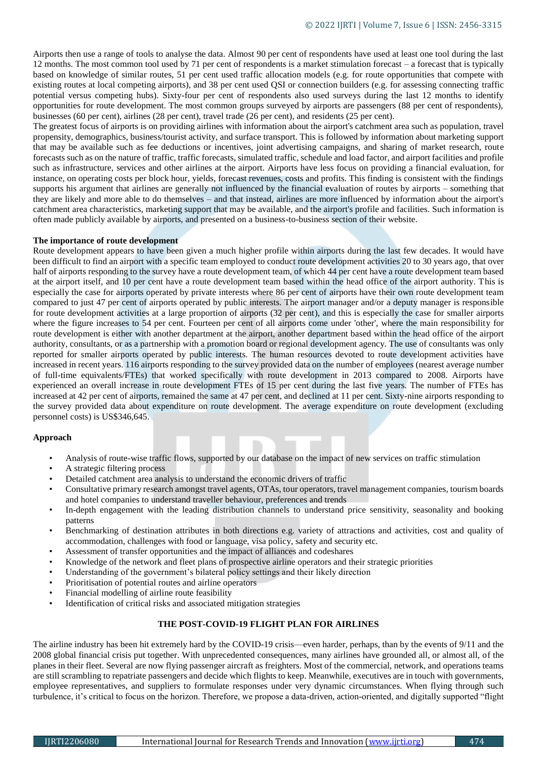Airports then use a range of tools to analyse the data. Almost 90 per cent of respondents have used at least one tool during the last 12 months. The most common tool used by 71 per cent of respondents is a market stimulation forecast – a forecast that is typically based on knowledge of similar routes, 51 per cent used traffic allocation models (e.g. for route opportunities that compete with existing routes at local competing airports), and 38 per cent used QSI or connection builders (e.g. for assessing connecting traffic potential versus competing hubs). Sixty-four per cent of respondents also used surveys during the last 12 months to identify opportunities for route development. The most common groups surveyed by airports are passengers (88 per cent of respondents), businesses (60 per cent), airlines (28 per cent), travel trade (26 per cent), and residents (25 per cent).

The greatest focus of airports is on providing airlines with information about the airport's catchment area such as population, travel propensity, demographics, business/tourist activity, and surface transport. This is followed by information about marketing support that may be available such as fee deductions or incentives, joint advertising campaigns, and sharing of market research, route forecasts such as on the nature of traffic, traffic forecasts, simulated traffic, schedule and load factor, and airport facilities and profile such as infrastructure, services and other airlines at the airport. Airports have less focus on providing a financial evaluation, for instance, on operating costs per block hour, yields, forecast revenues, costs and profits. This finding is consistent with the findings supports his argument that airlines are generally not influenced by the financial evaluation of routes by airports – something that they are likely and more able to do themselves – and that instead, airlines are more influenced by information about the airport's catchment area characteristics, marketing support that may be available, and the airport's profile and facilities. Such information is often made publicly available by airports, and presented on a business-to-business section of their website.

## **The importance of route development**

Route development appears to have been given a much higher profile within airports during the last few decades. It would have been difficult to find an airport with a specific team employed to conduct route development activities 20 to 30 years ago, that over half of airports responding to the survey have a route development team, of which 44 per cent have a route development team based at the airport itself, and 10 per cent have a route development team based within the head office of the airport authority. This is especially the case for airports operated by private interests where 86 per cent of airports have their own route development team compared to just 47 per cent of airports operated by public interests. The airport manager and/or a deputy manager is responsible for route development activities at a large proportion of airports (32 per cent), and this is especially the case for smaller airports where the figure increases to 54 per cent. Fourteen per cent of all airports come under 'other', where the main responsibility for route development is either with another department at the airport, another department based within the head office of the airport authority, consultants, or as a partnership with a promotion board or regional development agency. The use of consultants was only reported for smaller airports operated by public interests. The human resources devoted to route development activities have increased in recent years. 116 airports responding to the survey provided data on the number of employees (nearest average number of full-time equivalents/FTEs) that worked specifically with route development in 2013 compared to 2008. Airports have experienced an overall increase in route development FTEs of 15 per cent during the last five years. The number of FTEs has increased at 42 per cent of airports, remained the same at 47 per cent, and declined at 11 per cent. Sixty-nine airports responding to the survey provided data about expenditure on route development. The average expenditure on route development (excluding personnel costs) is US\$346,645.

### **Approach**

- Analysis of route-wise traffic flows, supported by our database on the impact of new services on traffic stimulation
- A strategic filtering process
- Detailed catchment area analysis to understand the economic drivers of traffic
- Consultative primary research amongst travel agents, OTAs, tour operators, travel management companies, tourism boards and hotel companies to understand traveller behaviour, preferences and trends
- In-depth engagement with the leading distribution channels to understand price sensitivity, seasonality and booking patterns
- Benchmarking of destination attributes in both directions e.g. variety of attractions and activities, cost and quality of accommodation, challenges with food or language, visa policy, safety and security etc.
- Assessment of transfer opportunities and the impact of alliances and codeshares
- Knowledge of the network and fleet plans of prospective airline operators and their strategic priorities
- Understanding of the government's bilateral policy settings and their likely direction
- Prioritisation of potential routes and airline operators
- Financial modelling of airline route feasibility
- Identification of critical risks and associated mitigation strategies

## **THE POST-COVID-19 FLIGHT PLAN FOR AIRLINES**

The airline industry has been hit extremely hard by the COVID-19 crisis—even harder, perhaps, than by the events of 9/11 and the 2008 global financial crisis put together. With unprecedented consequences, many airlines have grounded all, or almost all, of the planes in their fleet. Several are now flying passenger aircraft as freighters. Most of the commercial, network, and operations teams are still scrambling to repatriate passengers and decide which flights to keep. Meanwhile, executives are in touch with governments, employee representatives, and suppliers to formulate responses under very dynamic circumstances. When flying through such turbulence, it's critical to focus on the horizon. Therefore, we propose a data-driven, action-oriented, and digitally supported "flight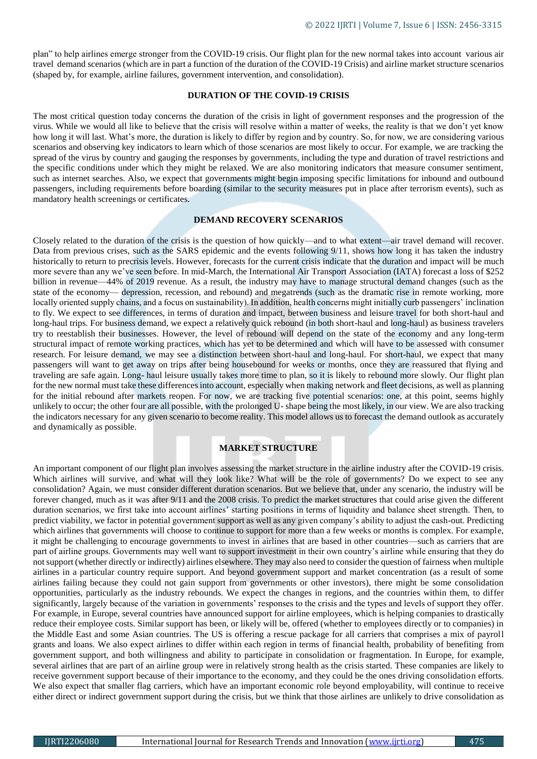plan" to help airlines emerge stronger from the COVID-19 crisis. Our flight plan for the new normal takes into account various air travel demand scenarios (which are in part a function of the duration of the COVID-19 Crisis) and airline market structure scenarios (shaped by, for example, airline failures, government intervention, and consolidation).

### **DURATION OF THE COVID-19 CRISIS**

The most critical question today concerns the duration of the crisis in light of government responses and the progression of the virus. While we would all like to believe that the crisis will resolve within a matter of weeks, the reality is that we don't yet know how long it will last. What's more, the duration is likely to differ by region and by country. So, for now, we are considering various scenarios and observing key indicators to learn which of those scenarios are most likely to occur. For example, we are tracking the spread of the virus by country and gauging the responses by governments, including the type and duration of travel restrictions and the specific conditions under which they might be relaxed. We are also monitoring indicators that measure consumer sentiment, such as internet searches. Also, we expect that governments might begin imposing specific limitations for inbound and outbound passengers, including requirements before boarding (similar to the security measures put in place after terrorism events), such as mandatory health screenings or certificates.

## **DEMAND RECOVERY SCENARIOS**

Closely related to the duration of the crisis is the question of how quickly—and to what extent—air travel demand will recover. Data from previous crises, such as the SARS epidemic and the events following 9/11, shows how long it has taken the industry historically to return to precrisis levels. However, forecasts for the current crisis indicate that the duration and impact will be much more severe than any we've seen before. In mid-March, the International Air Transport Association (IATA) forecast a loss of \$252 billion in revenue—44% of 2019 revenue. As a result, the industry may have to manage structural demand changes (such as the state of the economy— depression, recession, and rebound) and megatrends (such as the dramatic rise in remote working, more locally oriented supply chains, and a focus on sustainability). In addition, health concerns might initially curb passengers' inclination to fly. We expect to see differences, in terms of duration and impact, between business and leisure travel for both short-haul and long-haul trips. For business demand, we expect a relatively quick rebound (in both short-haul and long-haul) as business travelers try to reestablish their businesses. However, the level of rebound will depend on the state of the economy and any long-term structural impact of remote working practices, which has yet to be determined and which will have to be assessed with consumer research. For leisure demand, we may see a distinction between short-haul and long-haul. For short-haul, we expect that many passengers will want to get away on trips after being housebound for weeks or months, once they are reassured that flying and traveling are safe again. Long- haul leisure usually takes more time to plan, so it is likely to rebound more slowly. Our flight plan for the new normal must take these differences into account, especially when making network and fleet decisions, as well as planning for the initial rebound after markets reopen. For now, we are tracking five potential scenarios: one, at this point, seems highly unlikely to occur; the other four are all possible, with the prolonged U- shape being the most likely, in our view. We are also tracking the indicators necessary for any given scenario to become reality. This model allows us to forecast the demand outlook as accurately and dynamically as possible.

# **MARKET STRUCTURE**

An important component of our flight plan involves assessing the market structure in the airline industry after the COVID-19 crisis. Which airlines will survive, and what will they look like? What will be the role of governments? Do we expect to see any consolidation? Again, we must consider different duration scenarios. But we believe that, under any scenario, the industry will be forever changed, much as it was after 9/11 and the 2008 crisis. To predict the market structures that could arise given the different duration scenarios, we first take into account airlines' starting positions in terms of liquidity and balance sheet strength. Then, to predict viability, we factor in potential government support as well as any given company's ability to adjust the cash-out. Predicting which airlines that governments will choose to continue to support for more than a few weeks or months is complex. For example, it might be challenging to encourage governments to invest in airlines that are based in other countries—such as carriers that are part of airline groups. Governments may well want to support investment in their own country's airline while ensuring that they do not support (whether directly or indirectly) airlines elsewhere. They may also need to consider the question of fairness when multiple airlines in a particular country require support. And beyond government support and market concentration (as a result of some airlines failing because they could not gain support from governments or other investors), there might be some consolidation opportunities, particularly as the industry rebounds. We expect the changes in regions, and the countries within them, to differ significantly, largely because of the variation in governments' responses to the crisis and the types and levels of support they offer. For example, in Europe, several countries have announced support for airline employees, which is helping companies to drastically reduce their employee costs. Similar support has been, or likely will be, offered (whether to employees directly or to companies) in the Middle East and some Asian countries. The US is offering a rescue package for all carriers that comprises a mix of payroll grants and loans. We also expect airlines to differ within each region in terms of financial health, probability of benefiting from government support, and both willingness and ability to participate in consolidation or fragmentation. In Europe, for example, several airlines that are part of an airline group were in relatively strong health as the crisis started. These companies are likely to receive government support because of their importance to the economy, and they could be the ones driving consolidation efforts. We also expect that smaller flag carriers, which have an important economic role beyond employability, will continue to receive either direct or indirect government support during the crisis, but we think that those airlines are unlikely to drive consolidation as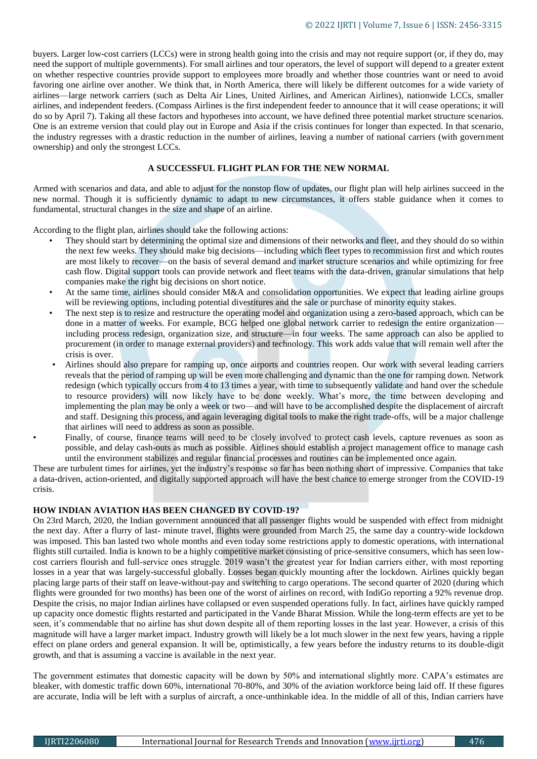buyers. Larger low-cost carriers (LCCs) were in strong health going into the crisis and may not require support (or, if they do, may need the support of multiple governments). For small airlines and tour operators, the level of support will depend to a greater extent on whether respective countries provide support to employees more broadly and whether those countries want or need to avoid favoring one airline over another. We think that, in North America, there will likely be different outcomes for a wide variety of airlines—large network carriers (such as Delta Air Lines, United Airlines, and American Airlines), nationwide LCCs, smaller airlines, and independent feeders. (Compass Airlines is the first independent feeder to announce that it will cease operations; it will do so by April 7). Taking all these factors and hypotheses into account, we have defined three potential market structure scenarios. One is an extreme version that could play out in Europe and Asia if the crisis continues for longer than expected. In that scenario, the industry regresses with a drastic reduction in the number of airlines, leaving a number of national carriers (with government ownership) and only the strongest LCCs.

# **A SUCCESSFUL FLIGHT PLAN FOR THE NEW NORMAL**

Armed with scenarios and data, and able to adjust for the nonstop flow of updates, our flight plan will help airlines succeed in the new normal. Though it is sufficiently dynamic to adapt to new circumstances, it offers stable guidance when it comes to fundamental, structural changes in the size and shape of an airline.

According to the flight plan, airlines should take the following actions:

- They should start by determining the optimal size and dimensions of their networks and fleet, and they should do so within the next few weeks. They should make big decisions—including which fleet types to recommission first and which routes are most likely to recover—on the basis of several demand and market structure scenarios and while optimizing for free cash flow. Digital support tools can provide network and fleet teams with the data-driven, granular simulations that help companies make the right big decisions on short notice.
- At the same time, airlines should consider M&A and consolidation opportunities. We expect that leading airline groups will be reviewing options, including potential divestitures and the sale or purchase of minority equity stakes.
- The next step is to resize and restructure the operating model and organization using a zero-based approach, which can be done in a matter of weeks. For example, BCG helped one global network carrier to redesign the entire organization– including process redesign, organization size, and structure—in four weeks. The same approach can also be applied to procurement (in order to manage external providers) and technology. This work adds value that will remain well after the crisis is over.
- Airlines should also prepare for ramping up, once airports and countries reopen. Our work with several leading carriers reveals that the period of ramping up will be even more challenging and dynamic than the one for ramping down. Network redesign (which typically occurs from 4 to 13 times a year, with time to subsequently validate and hand over the schedule to resource providers) will now likely have to be done weekly. What's more, the time between developing and implementing the plan may be only a week or two—and will have to be accomplished despite the displacement of aircraft and staff. Designing this process, and again leveraging digital tools to make the right trade-offs, will be a major challenge that airlines will need to address as soon as possible.
- Finally, of course, finance teams will need to be closely involved to protect cash levels, capture revenues as soon as possible, and delay cash-outs as much as possible. Airlines should establish a project management office to manage cash until the environment stabilizes and regular financial processes and routines can be implemented once again.

These are turbulent times for airlines, yet the industry's response so far has been nothing short of impressive. Companies that take a data-driven, action-oriented, and digitally supported approach will have the best chance to emerge stronger from the COVID-19 crisis.

### **HOW INDIAN AVIATION HAS BEEN CHANGED BY COVID-19?**

On 23rd March, 2020, the Indian government announced that all passenger flights would be suspended with effect from midnight the next day. After a flurry of last- minute travel, flights were grounded from March 25, the same day a country-wide lockdown was imposed. This ban lasted two whole months and even today some restrictions apply to domestic operations, with international flights still curtailed. India is known to be a highly competitive market consisting of price-sensitive consumers, which has seen lowcost carriers flourish and full-service ones struggle. 2019 wasn't the greatest year for Indian carriers either, with most reporting losses in a year that was largely-successful globally. Losses began quickly mounting after the lockdown. Airlines quickly began placing large parts of their staff on leave-without-pay and switching to cargo operations. The second quarter of 2020 (during which flights were grounded for two months) has been one of the worst of airlines on record, with IndiGo reporting a 92% revenue drop. Despite the crisis, no major Indian airlines have collapsed or even suspended operations fully. In fact, airlines have quickly ramped up capacity once domestic flights restarted and participated in the Vande Bharat Mission. While the long-term effects are yet to be seen, it's commendable that no airline has shut down despite all of them reporting losses in the last year. However, a crisis of this magnitude will have a larger market impact. Industry growth will likely be a lot much slower in the next few years, having a ripple effect on plane orders and general expansion. It will be, optimistically, a few years before the industry returns to its double-digit growth, and that is assuming a vaccine is available in the next year.

The government estimates that domestic capacity will be down by 50% and international slightly more. CAPA's estimates are bleaker, with domestic traffic down 60%, international 70-80%, and 30% of the aviation workforce being laid off. If these figures are accurate, India will be left with a surplus of aircraft, a once-unthinkable idea. In the middle of all of this, Indian carriers have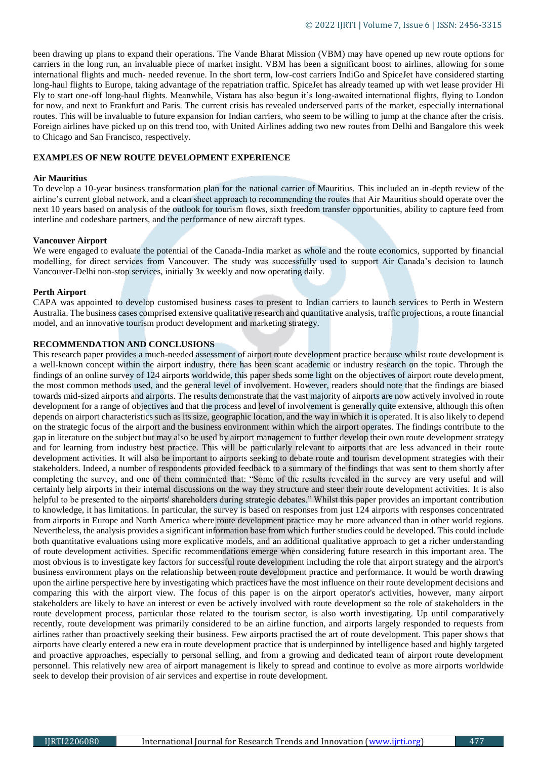been drawing up plans to expand their operations. The Vande Bharat Mission (VBM) may have opened up new route options for carriers in the long run, an invaluable piece of market insight. VBM has been a significant boost to airlines, allowing for some international flights and much- needed revenue. In the short term, low-cost carriers IndiGo and SpiceJet have considered starting long-haul flights to Europe, taking advantage of the repatriation traffic. SpiceJet has already teamed up with wet lease provider Hi Fly to start one-off long-haul flights. Meanwhile, Vistara has also begun it's long-awaited international flights, flying to London for now, and next to Frankfurt and Paris. The current crisis has revealed underserved parts of the market, especially international routes. This will be invaluable to future expansion for Indian carriers, who seem to be willing to jump at the chance after the crisis. Foreign airlines have picked up on this trend too, with United Airlines adding two new routes from Delhi and Bangalore this week to Chicago and San Francisco, respectively.

# **EXAMPLES OF NEW ROUTE DEVELOPMENT EXPERIENCE**

## **Air Mauritius**

To develop a 10-year business transformation plan for the national carrier of Mauritius. This included an in-depth review of the airline's current global network, and a clean sheet approach to recommending the routes that Air Mauritius should operate over the next 10 years based on analysis of the outlook for tourism flows, sixth freedom transfer opportunities, ability to capture feed from interline and codeshare partners, and the performance of new aircraft types.

## **Vancouver Airport**

We were engaged to evaluate the potential of the Canada-India market as whole and the route economics, supported by financial modelling, for direct services from Vancouver. The study was successfully used to support Air Canada's decision to launch Vancouver-Delhi non-stop services, initially 3x weekly and now operating daily.

## **Perth Airport**

CAPA was appointed to develop customised business cases to present to Indian carriers to launch services to Perth in Western Australia. The business cases comprised extensive qualitative research and quantitative analysis, traffic projections, a route financial model, and an innovative tourism product development and marketing strategy.

# **RECOMMENDATION AND CONCLUSIONS**

This research paper provides a much-needed assessment of airport route development practice because whilst route development is a well-known concept within the airport industry, there has been scant academic or industry research on the topic. Through the findings of an online survey of 124 airports worldwide, this paper sheds some light on the objectives of airport route development, the most common methods used, and the general level of involvement. However, readers should note that the findings are biased towards mid-sized airports and airports. The results demonstrate that the vast majority of airports are now actively involved in route development for a range of objectives and that the process and level of involvement is generally quite extensive, although this often depends on airport characteristics such as its size, geographic location, and the way in which it is operated. It is also likely to depend on the strategic focus of the airport and the business environment within which the airport operates. The findings contribute to the gap in literature on the subject but may also be used by airport management to further develop their own route development strategy and for learning from industry best practice. This will be particularly relevant to airports that are less advanced in their route development activities. It will also be important to airports seeking to debate route and tourism development strategies with their stakeholders. Indeed, a number of respondents provided feedback to a summary of the findings that was sent to them shortly after completing the survey, and one of them commented that: "Some of the results revealed in the survey are very useful and will certainly help airports in their internal discussions on the way they structure and steer their route development activities. It is also helpful to be presented to the airports' shareholders during strategic debates." Whilst this paper provides an important contribution to knowledge, it has limitations. In particular, the survey is based on responses from just 124 airports with responses concentrated from airports in Europe and North America where route development practice may be more advanced than in other world regions. Nevertheless, the analysis provides a significant information base from which further studies could be developed. This could include both quantitative evaluations using more explicative models, and an additional qualitative approach to get a richer understanding of route development activities. Specific recommendations emerge when considering future research in this important area. The most obvious is to investigate key factors for successful route development including the role that airport strategy and the airport's business environment plays on the relationship between route development practice and performance. It would be worth drawing upon the airline perspective here by investigating which practices have the most influence on their route development decisions and comparing this with the airport view. The focus of this paper is on the airport operator's activities, however, many airport stakeholders are likely to have an interest or even be actively involved with route development so the role of stakeholders in the route development process, particular those related to the tourism sector, is also worth investigating. Up until comparatively recently, route development was primarily considered to be an airline function, and airports largely responded to requests from airlines rather than proactively seeking their business. Few airports practised the art of route development. This paper shows that airports have clearly entered a new era in route development practice that is underpinned by intelligence based and highly targeted and proactive approaches, especially to personal selling, and from a growing and dedicated team of airport route development personnel. This relatively new area of airport management is likely to spread and continue to evolve as more airports worldwide seek to develop their provision of air services and expertise in route development.